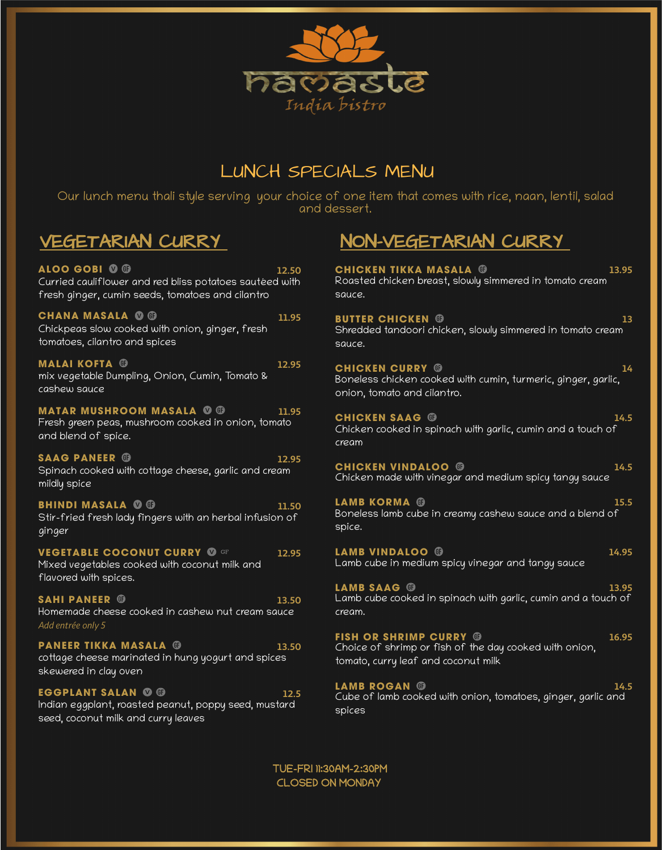

# LUNCH SPECIALS MENU

Our lunch menu thali style serving your choice of one item that comes with rice, naan, lentil, salad and dessert.

**ALOO GOBI 12.50** Curried cauliflower and red bliss potatoes sautéed with fresh ginger, cumin seeds, tomatoes and cilantro

**CHANA MASALA 0 0 11.95** Chickpeas slow cooked with onion, ginger, fresh tomatoes, cilantro and spices

**MALAI KOFTA 12.95** mix vegetable Dumpling, Onion, Cumin, Tomato & cashew sauce

**MATAR MUSHROOM MASALA <sup>O</sup> O** 11.95 Fresh green peas, mushroom cooked in onion, tomato and blend of spice.

**SAAG PANEER 12.95** Spinach cooked with cottage cheese, garlic and cream mildly spice

**BHINDI MASALA 0 0 11.50** Stir-fried fresh lady fingers with an herbal infusion of ginger

**VEGETABLE COCONUT CURRY @ GF 12.95** Mixed vegetables cooked with coconut milk and flavored with spices.

**SAHI PANEER 13.50** Homemade cheese cooked in cashew nut cream sauce *Add entrée only 5*

**PANEER TIKKA MASALA 13.50** cottage cheese marinated in hung yogurt and spices skewered in clay oven

**EGGPLANT SALAN © ©** 12.5 Indian eggplant, roasted peanut, poppy seed, mustard seed, coconut milk and curry leaves

# VEGETARIAN CURRY NON-VEGETARIAN CURRY

**CHICKEN TIKKA MASALA 13.95** Roasted chicken breast, slowly simmered in tomato cream sauce.

**BUTTER CHICKEN 13** Shredded tandoori chicken, slowly simmered in tomato cream sauce.

**CHICKEN CURRY 14** Boneless chicken cooked with cumin, turmeric, ginger, garlic, onion, tomato and cilantro.

**CHICKEN SAAG 14.5** Chicken cooked in spinach with garlic, cumin and a touch of cream

**CHICKEN VINDALOO 14.5** Chicken made with vinegar and medium spicy tangy sauce

**LAMB KORMA 15.5** Boneless lamb cube in creamy cashew sauce and a blend of spice.

**LAMB VINDALOO 14.95** Lamb cube in medium spicy vinegar and tangy sauce

**LAMB SAAG 13.95** Lamb cube cooked in spinach with garlic, cumin and a touch of cream.

**FISH OR SHRIMP CURRY 16.95** Choice of shrimp or fish of the day cooked with onion, tomato, curry leaf and coconut milk

**LAMB ROGAN 14.5** Cube of lamb cooked with onion, tomatoes, ginger, garlic and spices

TUE-FRI 11:30AM-2:30PM CLOSED ON MONDAY